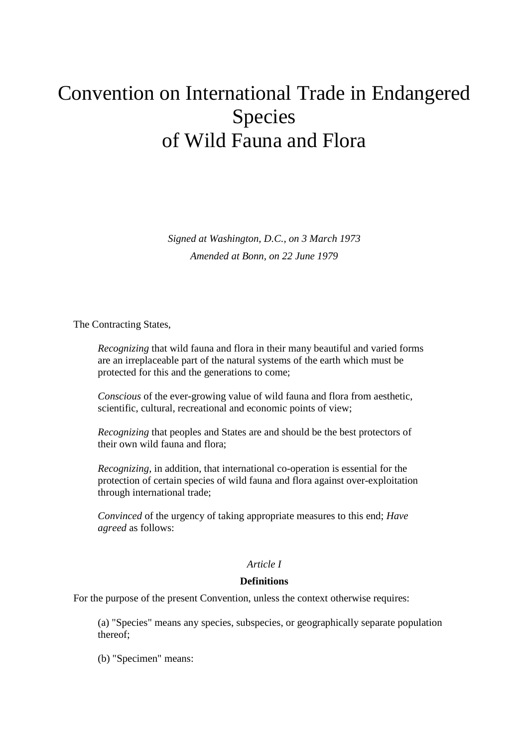# Convention on International Trade in Endangered Species of Wild Fauna and Flora

*Signed at Washington, D.C., on 3 March 1973 Amended at Bonn, on 22 June 1979* 

The Contracting States,

*Recognizing* that wild fauna and flora in their many beautiful and varied forms are an irreplaceable part of the natural systems of the earth which must be protected for this and the generations to come;

*Conscious* of the ever-growing value of wild fauna and flora from aesthetic, scientific, cultural, recreational and economic points of view;

*Recognizing* that peoples and States are and should be the best protectors of their own wild fauna and flora;

*Recognizing*, in addition, that international co-operation is essential for the protection of certain species of wild fauna and flora against over-exploitation through international trade;

*Convinced* of the urgency of taking appropriate measures to this end; *Have agreed* as follows:

## *Article I*

#### **Definitions**

For the purpose of the present Convention, unless the context otherwise requires:

(a) "Species" means any species, subspecies, or geographically separate population thereof;

(b) "Specimen" means: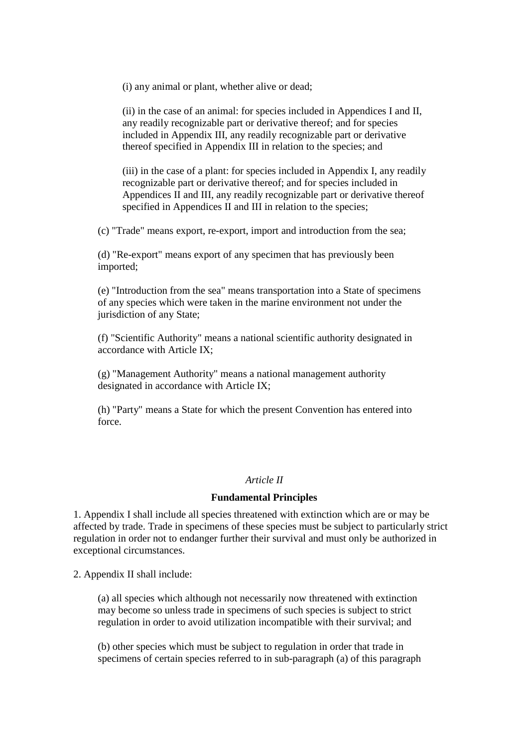(i) any animal or plant, whether alive or dead;

(ii) in the case of an animal: for species included in Appendices I and II, any readily recognizable part or derivative thereof; and for species included in Appendix III, any readily recognizable part or derivative thereof specified in Appendix III in relation to the species; and

(iii) in the case of a plant: for species included in Appendix I, any readily recognizable part or derivative thereof; and for species included in Appendices II and III, any readily recognizable part or derivative thereof specified in Appendices II and III in relation to the species:

(c) "Trade" means export, re-export, import and introduction from the sea;

(d) "Re-export" means export of any specimen that has previously been imported;

(e) "Introduction from the sea" means transportation into a State of specimens of any species which were taken in the marine environment not under the jurisdiction of any State;

(f) "Scientific Authority" means a national scientific authority designated in accordance with Article IX;

(g) "Management Authority" means a national management authority designated in accordance with Article IX;

(h) "Party" means a State for which the present Convention has entered into force.

#### *Article II*

#### **Fundamental Principles**

1. Appendix I shall include all species threatened with extinction which are or may be affected by trade. Trade in specimens of these species must be subject to particularly strict regulation in order not to endanger further their survival and must only be authorized in exceptional circumstances.

2. Appendix II shall include:

(a) all species which although not necessarily now threatened with extinction may become so unless trade in specimens of such species is subject to strict regulation in order to avoid utilization incompatible with their survival; and

(b) other species which must be subject to regulation in order that trade in specimens of certain species referred to in sub-paragraph (a) of this paragraph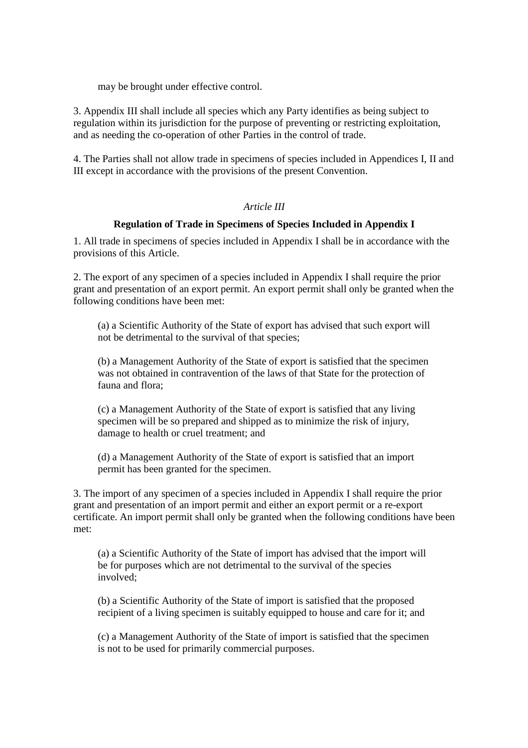may be brought under effective control.

3. Appendix III shall include all species which any Party identifies as being subject to regulation within its jurisdiction for the purpose of preventing or restricting exploitation, and as needing the co-operation of other Parties in the control of trade.

4. The Parties shall not allow trade in specimens of species included in Appendices I, II and III except in accordance with the provisions of the present Convention.

## *Article III*

#### **Regulation of Trade in Specimens of Species Included in Appendix I**

1. All trade in specimens of species included in Appendix I shall be in accordance with the provisions of this Article.

2. The export of any specimen of a species included in Appendix I shall require the prior grant and presentation of an export permit. An export permit shall only be granted when the following conditions have been met:

(a) a Scientific Authority of the State of export has advised that such export will not be detrimental to the survival of that species;

(b) a Management Authority of the State of export is satisfied that the specimen was not obtained in contravention of the laws of that State for the protection of fauna and flora;

(c) a Management Authority of the State of export is satisfied that any living specimen will be so prepared and shipped as to minimize the risk of injury, damage to health or cruel treatment; and

(d) a Management Authority of the State of export is satisfied that an import permit has been granted for the specimen.

3. The import of any specimen of a species included in Appendix I shall require the prior grant and presentation of an import permit and either an export permit or a re-export certificate. An import permit shall only be granted when the following conditions have been met:

(a) a Scientific Authority of the State of import has advised that the import will be for purposes which are not detrimental to the survival of the species involved;

(b) a Scientific Authority of the State of import is satisfied that the proposed recipient of a living specimen is suitably equipped to house and care for it; and

(c) a Management Authority of the State of import is satisfied that the specimen is not to be used for primarily commercial purposes.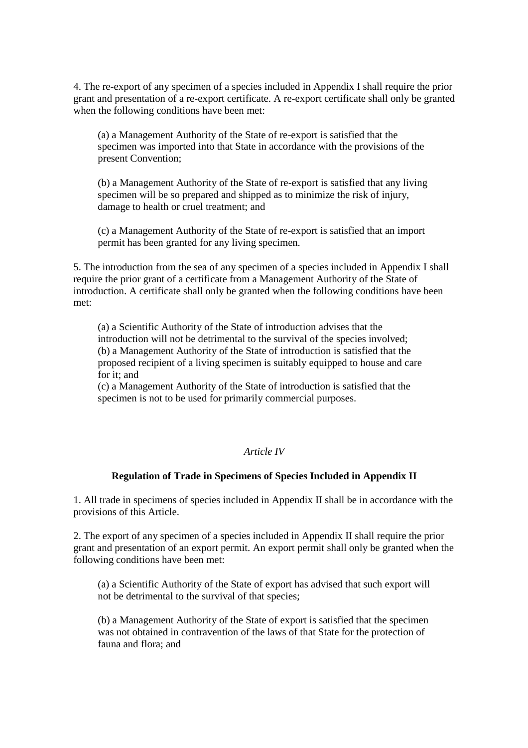4. The re-export of any specimen of a species included in Appendix I shall require the prior grant and presentation of a re-export certificate. A re-export certificate shall only be granted when the following conditions have been met:

(a) a Management Authority of the State of re-export is satisfied that the specimen was imported into that State in accordance with the provisions of the present Convention;

(b) a Management Authority of the State of re-export is satisfied that any living specimen will be so prepared and shipped as to minimize the risk of injury, damage to health or cruel treatment; and

(c) a Management Authority of the State of re-export is satisfied that an import permit has been granted for any living specimen.

5. The introduction from the sea of any specimen of a species included in Appendix I shall require the prior grant of a certificate from a Management Authority of the State of introduction. A certificate shall only be granted when the following conditions have been met:

(a) a Scientific Authority of the State of introduction advises that the introduction will not be detrimental to the survival of the species involved; (b) a Management Authority of the State of introduction is satisfied that the proposed recipient of a living specimen is suitably equipped to house and care for it; and

(c) a Management Authority of the State of introduction is satisfied that the specimen is not to be used for primarily commercial purposes.

## *Article IV*

## **Regulation of Trade in Specimens of Species Included in Appendix II**

1. All trade in specimens of species included in Appendix II shall be in accordance with the provisions of this Article.

2. The export of any specimen of a species included in Appendix II shall require the prior grant and presentation of an export permit. An export permit shall only be granted when the following conditions have been met:

(a) a Scientific Authority of the State of export has advised that such export will not be detrimental to the survival of that species;

(b) a Management Authority of the State of export is satisfied that the specimen was not obtained in contravention of the laws of that State for the protection of fauna and flora; and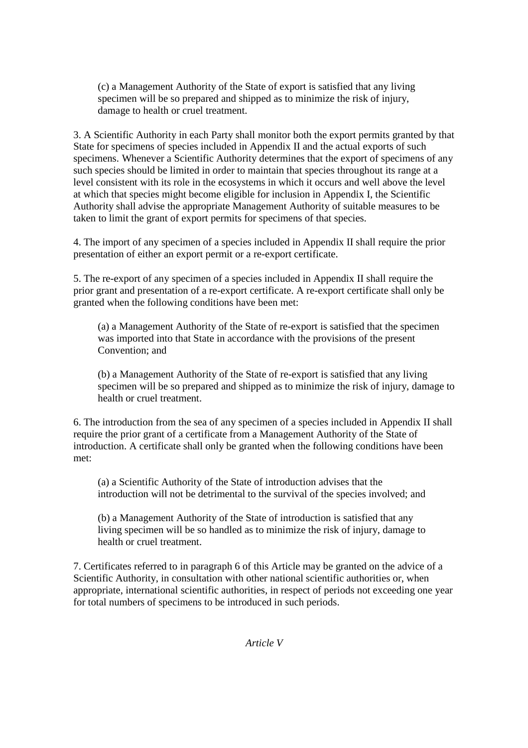(c) a Management Authority of the State of export is satisfied that any living specimen will be so prepared and shipped as to minimize the risk of injury, damage to health or cruel treatment.

3. A Scientific Authority in each Party shall monitor both the export permits granted by that State for specimens of species included in Appendix II and the actual exports of such specimens. Whenever a Scientific Authority determines that the export of specimens of any such species should be limited in order to maintain that species throughout its range at a level consistent with its role in the ecosystems in which it occurs and well above the level at which that species might become eligible for inclusion in Appendix I, the Scientific Authority shall advise the appropriate Management Authority of suitable measures to be taken to limit the grant of export permits for specimens of that species.

4. The import of any specimen of a species included in Appendix II shall require the prior presentation of either an export permit or a re-export certificate.

5. The re-export of any specimen of a species included in Appendix II shall require the prior grant and presentation of a re-export certificate. A re-export certificate shall only be granted when the following conditions have been met:

(a) a Management Authority of the State of re-export is satisfied that the specimen was imported into that State in accordance with the provisions of the present Convention; and

(b) a Management Authority of the State of re-export is satisfied that any living specimen will be so prepared and shipped as to minimize the risk of injury, damage to health or cruel treatment.

6. The introduction from the sea of any specimen of a species included in Appendix II shall require the prior grant of a certificate from a Management Authority of the State of introduction. A certificate shall only be granted when the following conditions have been met:

(a) a Scientific Authority of the State of introduction advises that the introduction will not be detrimental to the survival of the species involved; and

(b) a Management Authority of the State of introduction is satisfied that any living specimen will be so handled as to minimize the risk of injury, damage to health or cruel treatment.

7. Certificates referred to in paragraph 6 of this Article may be granted on the advice of a Scientific Authority, in consultation with other national scientific authorities or, when appropriate, international scientific authorities, in respect of periods not exceeding one year for total numbers of specimens to be introduced in such periods.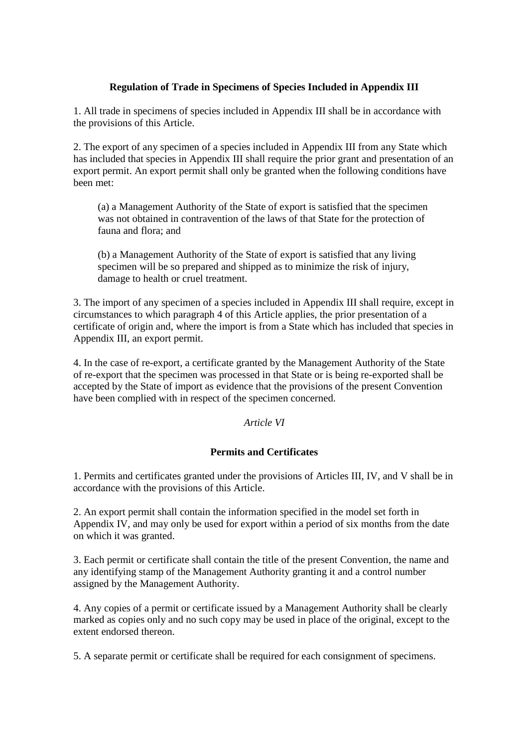# **Regulation of Trade in Specimens of Species Included in Appendix III**

1. All trade in specimens of species included in Appendix III shall be in accordance with the provisions of this Article.

2. The export of any specimen of a species included in Appendix III from any State which has included that species in Appendix III shall require the prior grant and presentation of an export permit. An export permit shall only be granted when the following conditions have been met:

(a) a Management Authority of the State of export is satisfied that the specimen was not obtained in contravention of the laws of that State for the protection of fauna and flora; and

(b) a Management Authority of the State of export is satisfied that any living specimen will be so prepared and shipped as to minimize the risk of injury, damage to health or cruel treatment.

3. The import of any specimen of a species included in Appendix III shall require, except in circumstances to which paragraph 4 of this Article applies, the prior presentation of a certificate of origin and, where the import is from a State which has included that species in Appendix III, an export permit.

4. In the case of re-export, a certificate granted by the Management Authority of the State of re-export that the specimen was processed in that State or is being re-exported shall be accepted by the State of import as evidence that the provisions of the present Convention have been complied with in respect of the specimen concerned.

# *Article VI*

## **Permits and Certificates**

1. Permits and certificates granted under the provisions of Articles III, IV, and V shall be in accordance with the provisions of this Article.

2. An export permit shall contain the information specified in the model set forth in Appendix IV, and may only be used for export within a period of six months from the date on which it was granted.

3. Each permit or certificate shall contain the title of the present Convention, the name and any identifying stamp of the Management Authority granting it and a control number assigned by the Management Authority.

4. Any copies of a permit or certificate issued by a Management Authority shall be clearly marked as copies only and no such copy may be used in place of the original, except to the extent endorsed thereon.

5. A separate permit or certificate shall be required for each consignment of specimens.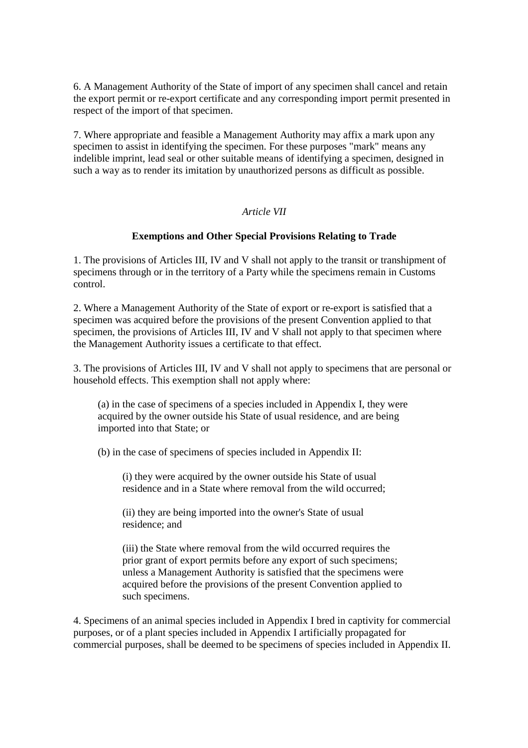6. A Management Authority of the State of import of any specimen shall cancel and retain the export permit or re-export certificate and any corresponding import permit presented in respect of the import of that specimen.

7. Where appropriate and feasible a Management Authority may affix a mark upon any specimen to assist in identifying the specimen. For these purposes "mark" means any indelible imprint, lead seal or other suitable means of identifying a specimen, designed in such a way as to render its imitation by unauthorized persons as difficult as possible.

## *Article VII*

#### **Exemptions and Other Special Provisions Relating to Trade**

1. The provisions of Articles III, IV and V shall not apply to the transit or transhipment of specimens through or in the territory of a Party while the specimens remain in Customs control.

2. Where a Management Authority of the State of export or re-export is satisfied that a specimen was acquired before the provisions of the present Convention applied to that specimen, the provisions of Articles III, IV and V shall not apply to that specimen where the Management Authority issues a certificate to that effect.

3. The provisions of Articles III, IV and V shall not apply to specimens that are personal or household effects. This exemption shall not apply where:

(a) in the case of specimens of a species included in Appendix I, they were acquired by the owner outside his State of usual residence, and are being imported into that State; or

(b) in the case of specimens of species included in Appendix II:

(i) they were acquired by the owner outside his State of usual residence and in a State where removal from the wild occurred;

(ii) they are being imported into the owner's State of usual residence; and

(iii) the State where removal from the wild occurred requires the prior grant of export permits before any export of such specimens; unless a Management Authority is satisfied that the specimens were acquired before the provisions of the present Convention applied to such specimens.

4. Specimens of an animal species included in Appendix I bred in captivity for commercial purposes, or of a plant species included in Appendix I artificially propagated for commercial purposes, shall be deemed to be specimens of species included in Appendix II.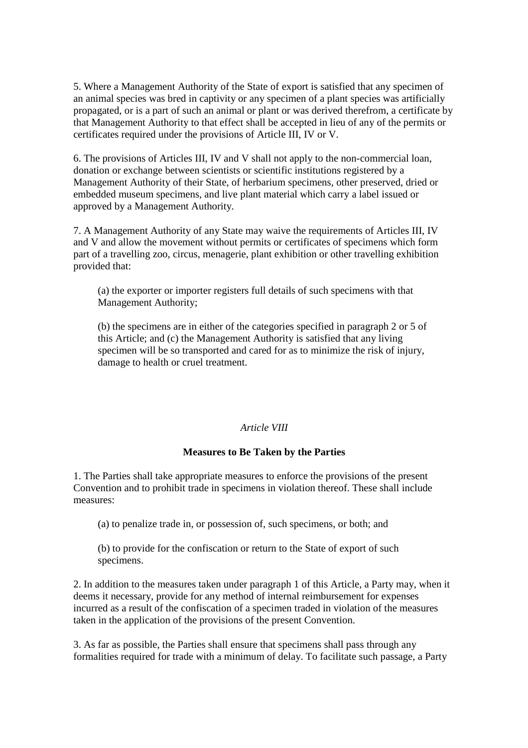5. Where a Management Authority of the State of export is satisfied that any specimen of an animal species was bred in captivity or any specimen of a plant species was artificially propagated, or is a part of such an animal or plant or was derived therefrom, a certificate by that Management Authority to that effect shall be accepted in lieu of any of the permits or certificates required under the provisions of Article III, IV or V.

6. The provisions of Articles III, IV and V shall not apply to the non-commercial loan, donation or exchange between scientists or scientific institutions registered by a Management Authority of their State, of herbarium specimens, other preserved, dried or embedded museum specimens, and live plant material which carry a label issued or approved by a Management Authority.

7. A Management Authority of any State may waive the requirements of Articles III, IV and V and allow the movement without permits or certificates of specimens which form part of a travelling zoo, circus, menagerie, plant exhibition or other travelling exhibition provided that:

(a) the exporter or importer registers full details of such specimens with that Management Authority;

(b) the specimens are in either of the categories specified in paragraph 2 or 5 of this Article; and (c) the Management Authority is satisfied that any living specimen will be so transported and cared for as to minimize the risk of injury, damage to health or cruel treatment.

## *Article VIII*

#### **Measures to Be Taken by the Parties**

1. The Parties shall take appropriate measures to enforce the provisions of the present Convention and to prohibit trade in specimens in violation thereof. These shall include measures:

(a) to penalize trade in, or possession of, such specimens, or both; and

(b) to provide for the confiscation or return to the State of export of such specimens.

2. In addition to the measures taken under paragraph 1 of this Article, a Party may, when it deems it necessary, provide for any method of internal reimbursement for expenses incurred as a result of the confiscation of a specimen traded in violation of the measures taken in the application of the provisions of the present Convention.

3. As far as possible, the Parties shall ensure that specimens shall pass through any formalities required for trade with a minimum of delay. To facilitate such passage, a Party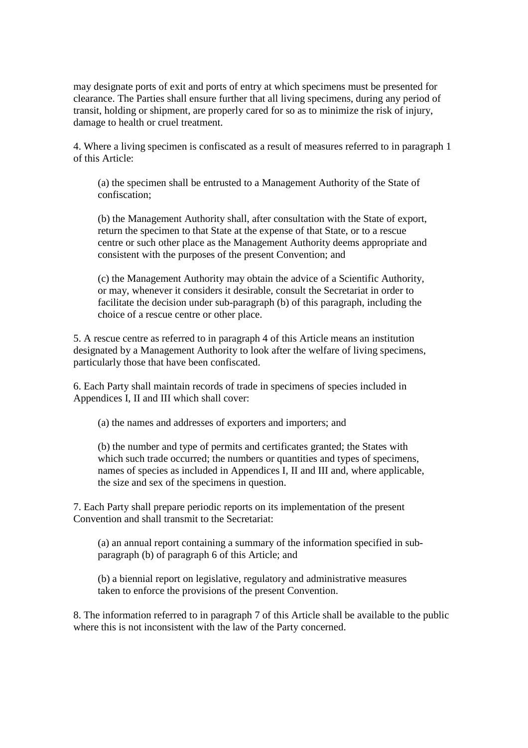may designate ports of exit and ports of entry at which specimens must be presented for clearance. The Parties shall ensure further that all living specimens, during any period of transit, holding or shipment, are properly cared for so as to minimize the risk of injury, damage to health or cruel treatment.

4. Where a living specimen is confiscated as a result of measures referred to in paragraph 1 of this Article:

(a) the specimen shall be entrusted to a Management Authority of the State of confiscation;

(b) the Management Authority shall, after consultation with the State of export, return the specimen to that State at the expense of that State, or to a rescue centre or such other place as the Management Authority deems appropriate and consistent with the purposes of the present Convention; and

(c) the Management Authority may obtain the advice of a Scientific Authority, or may, whenever it considers it desirable, consult the Secretariat in order to facilitate the decision under sub-paragraph (b) of this paragraph, including the choice of a rescue centre or other place.

5. A rescue centre as referred to in paragraph 4 of this Article means an institution designated by a Management Authority to look after the welfare of living specimens, particularly those that have been confiscated.

6. Each Party shall maintain records of trade in specimens of species included in Appendices I, II and III which shall cover:

(a) the names and addresses of exporters and importers; and

(b) the number and type of permits and certificates granted; the States with which such trade occurred; the numbers or quantities and types of specimens, names of species as included in Appendices I, II and III and, where applicable, the size and sex of the specimens in question.

7. Each Party shall prepare periodic reports on its implementation of the present Convention and shall transmit to the Secretariat:

(a) an annual report containing a summary of the information specified in subparagraph (b) of paragraph 6 of this Article; and

(b) a biennial report on legislative, regulatory and administrative measures taken to enforce the provisions of the present Convention.

8. The information referred to in paragraph 7 of this Article shall be available to the public where this is not inconsistent with the law of the Party concerned.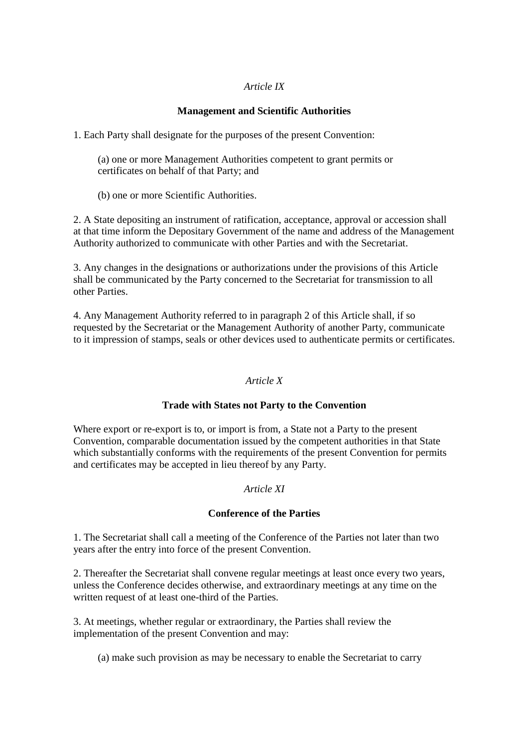# *Article IX*

## **Management and Scientific Authorities**

1. Each Party shall designate for the purposes of the present Convention:

(a) one or more Management Authorities competent to grant permits or certificates on behalf of that Party; and

(b) one or more Scientific Authorities.

2. A State depositing an instrument of ratification, acceptance, approval or accession shall at that time inform the Depositary Government of the name and address of the Management Authority authorized to communicate with other Parties and with the Secretariat.

3. Any changes in the designations or authorizations under the provisions of this Article shall be communicated by the Party concerned to the Secretariat for transmission to all other Parties.

4. Any Management Authority referred to in paragraph 2 of this Article shall, if so requested by the Secretariat or the Management Authority of another Party, communicate to it impression of stamps, seals or other devices used to authenticate permits or certificates.

## *Article X*

## **Trade with States not Party to the Convention**

Where export or re-export is to, or import is from, a State not a Party to the present Convention, comparable documentation issued by the competent authorities in that State which substantially conforms with the requirements of the present Convention for permits and certificates may be accepted in lieu thereof by any Party.

# *Article XI*

## **Conference of the Parties**

1. The Secretariat shall call a meeting of the Conference of the Parties not later than two years after the entry into force of the present Convention.

2. Thereafter the Secretariat shall convene regular meetings at least once every two years, unless the Conference decides otherwise, and extraordinary meetings at any time on the written request of at least one-third of the Parties.

3. At meetings, whether regular or extraordinary, the Parties shall review the implementation of the present Convention and may:

(a) make such provision as may be necessary to enable the Secretariat to carry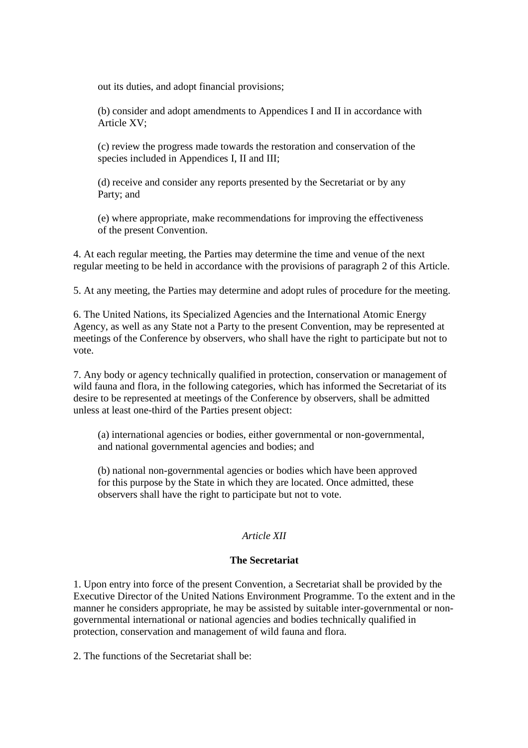out its duties, and adopt financial provisions;

(b) consider and adopt amendments to Appendices I and II in accordance with Article XV;

(c) review the progress made towards the restoration and conservation of the species included in Appendices I, II and III;

(d) receive and consider any reports presented by the Secretariat or by any Party; and

(e) where appropriate, make recommendations for improving the effectiveness of the present Convention.

4. At each regular meeting, the Parties may determine the time and venue of the next regular meeting to be held in accordance with the provisions of paragraph 2 of this Article.

5. At any meeting, the Parties may determine and adopt rules of procedure for the meeting.

6. The United Nations, its Specialized Agencies and the International Atomic Energy Agency, as well as any State not a Party to the present Convention, may be represented at meetings of the Conference by observers, who shall have the right to participate but not to vote.

7. Any body or agency technically qualified in protection, conservation or management of wild fauna and flora, in the following categories, which has informed the Secretariat of its desire to be represented at meetings of the Conference by observers, shall be admitted unless at least one-third of the Parties present object:

(a) international agencies or bodies, either governmental or non-governmental, and national governmental agencies and bodies; and

(b) national non-governmental agencies or bodies which have been approved for this purpose by the State in which they are located. Once admitted, these observers shall have the right to participate but not to vote.

## *Article XII*

## **The Secretariat**

1. Upon entry into force of the present Convention, a Secretariat shall be provided by the Executive Director of the United Nations Environment Programme. To the extent and in the manner he considers appropriate, he may be assisted by suitable inter-governmental or nongovernmental international or national agencies and bodies technically qualified in protection, conservation and management of wild fauna and flora.

2. The functions of the Secretariat shall be: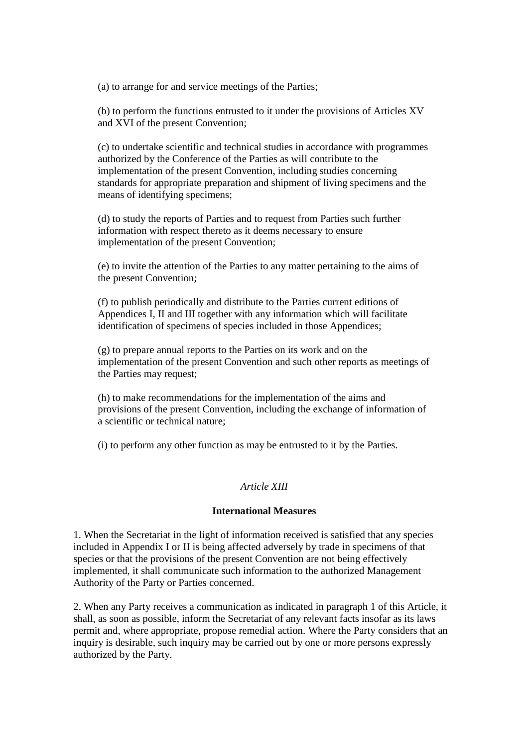(a) to arrange for and service meetings of the Parties;

(b) to perform the functions entrusted to it under the provisions of Articles XV and XVI of the present Convention;

(c) to undertake scientific and technical studies in accordance with programmes authorized by the Conference of the Parties as will contribute to the implementation of the present Convention, including studies concerning standards for appropriate preparation and shipment of living specimens and the means of identifying specimens;

(d) to study the reports of Parties and to request from Parties such further information with respect thereto as it deems necessary to ensure implementation of the present Convention;

(e) to invite the attention of the Parties to any matter pertaining to the aims of the present Convention;

(f) to publish periodically and distribute to the Parties current editions of Appendices I, II and III together with any information which will facilitate identification of specimens of species included in those Appendices;

(g) to prepare annual reports to the Parties on its work and on the implementation of the present Convention and such other reports as meetings of the Parties may request;

(h) to make recommendations for the implementation of the aims and provisions of the present Convention, including the exchange of information of a scientific or technical nature;

(i) to perform any other function as may be entrusted to it by the Parties.

#### *Article XIII*

#### **International Measures**

1. When the Secretariat in the light of information received is satisfied that any species included in Appendix I or II is being affected adversely by trade in specimens of that species or that the provisions of the present Convention are not being effectively implemented, it shall communicate such information to the authorized Management Authority of the Party or Parties concerned.

2. When any Party receives a communication as indicated in paragraph 1 of this Article, it shall, as soon as possible, inform the Secretariat of any relevant facts insofar as its laws permit and, where appropriate, propose remedial action. Where the Party considers that an inquiry is desirable, such inquiry may be carried out by one or more persons expressly authorized by the Party.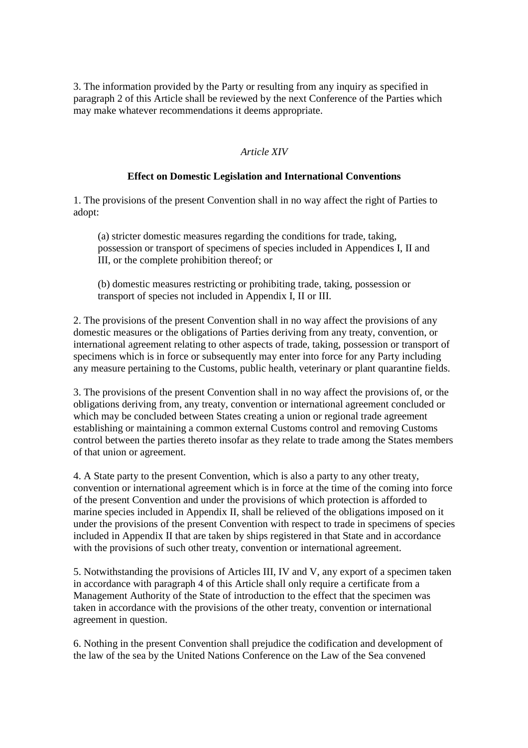3. The information provided by the Party or resulting from any inquiry as specified in paragraph 2 of this Article shall be reviewed by the next Conference of the Parties which may make whatever recommendations it deems appropriate.

## *Article XIV*

#### **Effect on Domestic Legislation and International Conventions**

1. The provisions of the present Convention shall in no way affect the right of Parties to adopt:

(a) stricter domestic measures regarding the conditions for trade, taking, possession or transport of specimens of species included in Appendices I, II and III, or the complete prohibition thereof; or

(b) domestic measures restricting or prohibiting trade, taking, possession or transport of species not included in Appendix I, II or III.

2. The provisions of the present Convention shall in no way affect the provisions of any domestic measures or the obligations of Parties deriving from any treaty, convention, or international agreement relating to other aspects of trade, taking, possession or transport of specimens which is in force or subsequently may enter into force for any Party including any measure pertaining to the Customs, public health, veterinary or plant quarantine fields.

3. The provisions of the present Convention shall in no way affect the provisions of, or the obligations deriving from, any treaty, convention or international agreement concluded or which may be concluded between States creating a union or regional trade agreement establishing or maintaining a common external Customs control and removing Customs control between the parties thereto insofar as they relate to trade among the States members of that union or agreement.

4. A State party to the present Convention, which is also a party to any other treaty, convention or international agreement which is in force at the time of the coming into force of the present Convention and under the provisions of which protection is afforded to marine species included in Appendix II, shall be relieved of the obligations imposed on it under the provisions of the present Convention with respect to trade in specimens of species included in Appendix II that are taken by ships registered in that State and in accordance with the provisions of such other treaty, convention or international agreement.

5. Notwithstanding the provisions of Articles III, IV and V, any export of a specimen taken in accordance with paragraph 4 of this Article shall only require a certificate from a Management Authority of the State of introduction to the effect that the specimen was taken in accordance with the provisions of the other treaty, convention or international agreement in question.

6. Nothing in the present Convention shall prejudice the codification and development of the law of the sea by the United Nations Conference on the Law of the Sea convened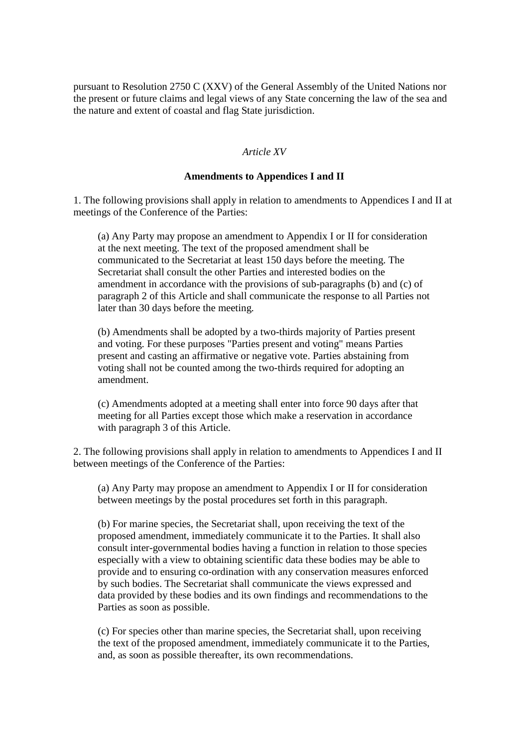pursuant to Resolution 2750 C (XXV) of the General Assembly of the United Nations nor the present or future claims and legal views of any State concerning the law of the sea and the nature and extent of coastal and flag State jurisdiction.

#### *Article XV*

#### **Amendments to Appendices I and II**

1. The following provisions shall apply in relation to amendments to Appendices I and II at meetings of the Conference of the Parties:

(a) Any Party may propose an amendment to Appendix I or II for consideration at the next meeting. The text of the proposed amendment shall be communicated to the Secretariat at least 150 days before the meeting. The Secretariat shall consult the other Parties and interested bodies on the amendment in accordance with the provisions of sub-paragraphs (b) and (c) of paragraph 2 of this Article and shall communicate the response to all Parties not later than 30 days before the meeting.

(b) Amendments shall be adopted by a two-thirds majority of Parties present and voting. For these purposes "Parties present and voting" means Parties present and casting an affirmative or negative vote. Parties abstaining from voting shall not be counted among the two-thirds required for adopting an amendment.

(c) Amendments adopted at a meeting shall enter into force 90 days after that meeting for all Parties except those which make a reservation in accordance with paragraph 3 of this Article.

2. The following provisions shall apply in relation to amendments to Appendices I and II between meetings of the Conference of the Parties:

(a) Any Party may propose an amendment to Appendix I or II for consideration between meetings by the postal procedures set forth in this paragraph.

(b) For marine species, the Secretariat shall, upon receiving the text of the proposed amendment, immediately communicate it to the Parties. It shall also consult inter-governmental bodies having a function in relation to those species especially with a view to obtaining scientific data these bodies may be able to provide and to ensuring co-ordination with any conservation measures enforced by such bodies. The Secretariat shall communicate the views expressed and data provided by these bodies and its own findings and recommendations to the Parties as soon as possible.

(c) For species other than marine species, the Secretariat shall, upon receiving the text of the proposed amendment, immediately communicate it to the Parties, and, as soon as possible thereafter, its own recommendations.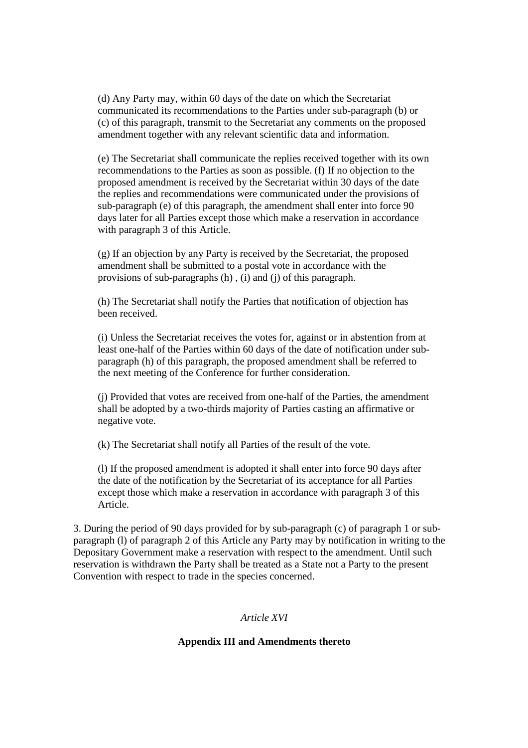(d) Any Party may, within 60 days of the date on which the Secretariat communicated its recommendations to the Parties under sub-paragraph (b) or (c) of this paragraph, transmit to the Secretariat any comments on the proposed amendment together with any relevant scientific data and information.

(e) The Secretariat shall communicate the replies received together with its own recommendations to the Parties as soon as possible. (f) If no objection to the proposed amendment is received by the Secretariat within 30 days of the date the replies and recommendations were communicated under the provisions of sub-paragraph (e) of this paragraph, the amendment shall enter into force 90 days later for all Parties except those which make a reservation in accordance with paragraph 3 of this Article.

(g) If an objection by any Party is received by the Secretariat, the proposed amendment shall be submitted to a postal vote in accordance with the provisions of sub-paragraphs (h) , (i) and (j) of this paragraph.

(h) The Secretariat shall notify the Parties that notification of objection has been received.

(i) Unless the Secretariat receives the votes for, against or in abstention from at least one-half of the Parties within 60 days of the date of notification under subparagraph (h) of this paragraph, the proposed amendment shall be referred to the next meeting of the Conference for further consideration.

(j) Provided that votes are received from one-half of the Parties, the amendment shall be adopted by a two-thirds majority of Parties casting an affirmative or negative vote.

(k) The Secretariat shall notify all Parties of the result of the vote.

(l) If the proposed amendment is adopted it shall enter into force 90 days after the date of the notification by the Secretariat of its acceptance for all Parties except those which make a reservation in accordance with paragraph 3 of this Article.

3. During the period of 90 days provided for by sub-paragraph (c) of paragraph 1 or subparagraph (l) of paragraph 2 of this Article any Party may by notification in writing to the Depositary Government make a reservation with respect to the amendment. Until such reservation is withdrawn the Party shall be treated as a State not a Party to the present Convention with respect to trade in the species concerned.

# *Article XVI*

#### **Appendix III and Amendments thereto**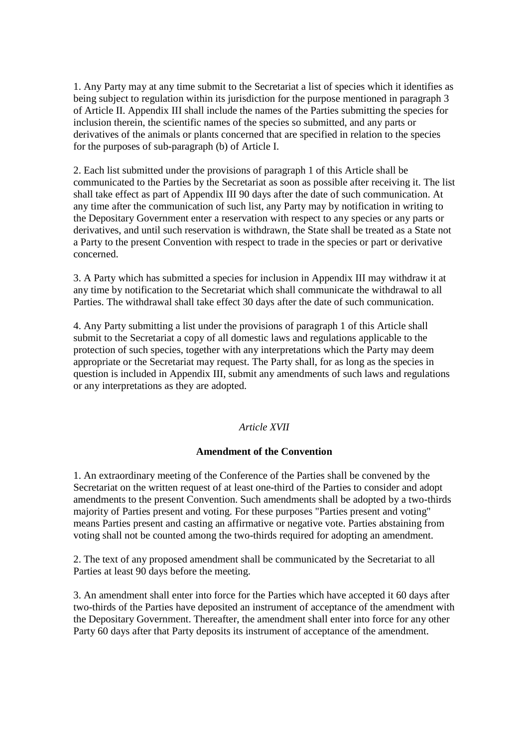1. Any Party may at any time submit to the Secretariat a list of species which it identifies as being subject to regulation within its jurisdiction for the purpose mentioned in paragraph 3 of Article II. Appendix III shall include the names of the Parties submitting the species for inclusion therein, the scientific names of the species so submitted, and any parts or derivatives of the animals or plants concerned that are specified in relation to the species for the purposes of sub-paragraph (b) of Article I.

2. Each list submitted under the provisions of paragraph 1 of this Article shall be communicated to the Parties by the Secretariat as soon as possible after receiving it. The list shall take effect as part of Appendix III 90 days after the date of such communication. At any time after the communication of such list, any Party may by notification in writing to the Depositary Government enter a reservation with respect to any species or any parts or derivatives, and until such reservation is withdrawn, the State shall be treated as a State not a Party to the present Convention with respect to trade in the species or part or derivative concerned.

3. A Party which has submitted a species for inclusion in Appendix III may withdraw it at any time by notification to the Secretariat which shall communicate the withdrawal to all Parties. The withdrawal shall take effect 30 days after the date of such communication.

4. Any Party submitting a list under the provisions of paragraph 1 of this Article shall submit to the Secretariat a copy of all domestic laws and regulations applicable to the protection of such species, together with any interpretations which the Party may deem appropriate or the Secretariat may request. The Party shall, for as long as the species in question is included in Appendix III, submit any amendments of such laws and regulations or any interpretations as they are adopted.

## *Article XVII*

#### **Amendment of the Convention**

1. An extraordinary meeting of the Conference of the Parties shall be convened by the Secretariat on the written request of at least one-third of the Parties to consider and adopt amendments to the present Convention. Such amendments shall be adopted by a two-thirds majority of Parties present and voting. For these purposes "Parties present and voting" means Parties present and casting an affirmative or negative vote. Parties abstaining from voting shall not be counted among the two-thirds required for adopting an amendment.

2. The text of any proposed amendment shall be communicated by the Secretariat to all Parties at least 90 days before the meeting.

3. An amendment shall enter into force for the Parties which have accepted it 60 days after two-thirds of the Parties have deposited an instrument of acceptance of the amendment with the Depositary Government. Thereafter, the amendment shall enter into force for any other Party 60 days after that Party deposits its instrument of acceptance of the amendment.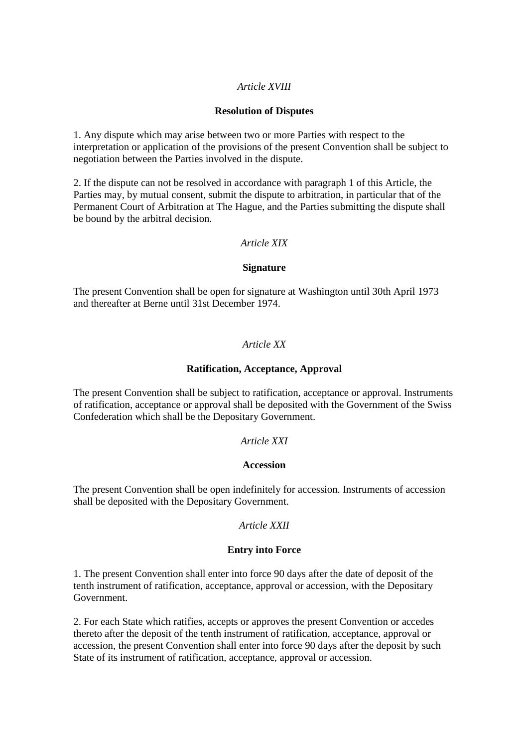## *Article XVIII*

#### **Resolution of Disputes**

1. Any dispute which may arise between two or more Parties with respect to the interpretation or application of the provisions of the present Convention shall be subject to negotiation between the Parties involved in the dispute.

2. If the dispute can not be resolved in accordance with paragraph 1 of this Article, the Parties may, by mutual consent, submit the dispute to arbitration, in particular that of the Permanent Court of Arbitration at The Hague, and the Parties submitting the dispute shall be bound by the arbitral decision.

#### *Article XIX*

#### **Signature**

The present Convention shall be open for signature at Washington until 30th April 1973 and thereafter at Berne until 31st December 1974.

## *Article XX*

#### **Ratification, Acceptance, Approval**

The present Convention shall be subject to ratification, acceptance or approval. Instruments of ratification, acceptance or approval shall be deposited with the Government of the Swiss Confederation which shall be the Depositary Government.

#### *Article XXI*

#### **Accession**

The present Convention shall be open indefinitely for accession. Instruments of accession shall be deposited with the Depositary Government.

#### *Article XXII*

## **Entry into Force**

1. The present Convention shall enter into force 90 days after the date of deposit of the tenth instrument of ratification, acceptance, approval or accession, with the Depositary Government.

2. For each State which ratifies, accepts or approves the present Convention or accedes thereto after the deposit of the tenth instrument of ratification, acceptance, approval or accession, the present Convention shall enter into force 90 days after the deposit by such State of its instrument of ratification, acceptance, approval or accession.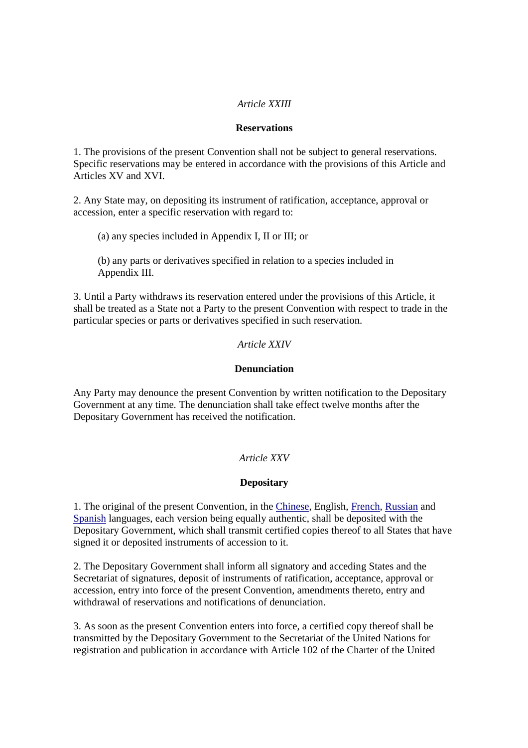# *Article XXIII*

#### **Reservations**

1. The provisions of the present Convention shall not be subject to general reservations. Specific reservations may be entered in accordance with the provisions of this Article and Articles XV and XVI.

2. Any State may, on depositing its instrument of ratification, acceptance, approval or accession, enter a specific reservation with regard to:

(a) any species included in Appendix I, II or III; or

(b) any parts or derivatives specified in relation to a species included in Appendix III.

3. Until a Party withdraws its reservation entered under the provisions of this Article, it shall be treated as a State not a Party to the present Convention with respect to trade in the particular species or parts or derivatives specified in such reservation.

## *Article XXIV*

#### **Denunciation**

Any Party may denounce the present Convention by written notification to the Depositary Government at any time. The denunciation shall take effect twelve months after the Depositary Government has received the notification.

## *Article XXV*

## **Depositary**

1. The original of the present Convention, in the Chinese, English, French, Russian and Spanish languages, each version being equally authentic, shall be deposited with the Depositary Government, which shall transmit certified copies thereof to all States that have signed it or deposited instruments of accession to it.

2. The Depositary Government shall inform all signatory and acceding States and the Secretariat of signatures, deposit of instruments of ratification, acceptance, approval or accession, entry into force of the present Convention, amendments thereto, entry and withdrawal of reservations and notifications of denunciation.

3. As soon as the present Convention enters into force, a certified copy thereof shall be transmitted by the Depositary Government to the Secretariat of the United Nations for registration and publication in accordance with Article 102 of the Charter of the United